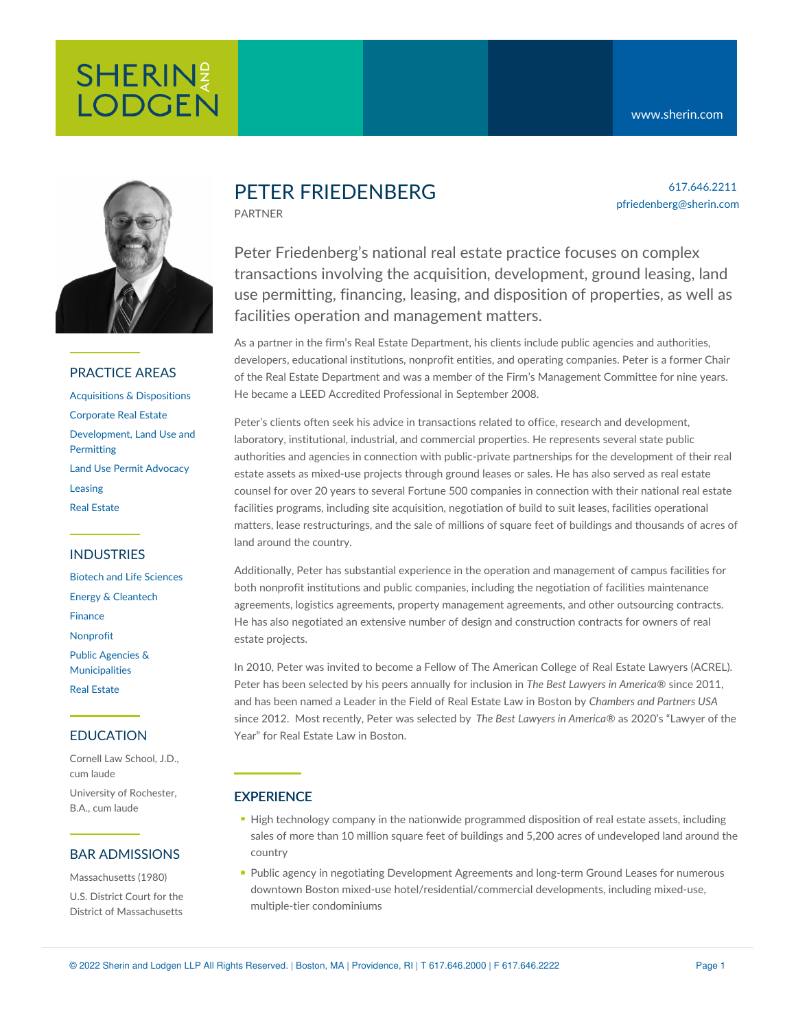

### PRACTICE AREAS

[Acquisitions](https://www.sherin.com/practice-areas/real-estate/acquisitions-and-dispositions/) & Dispositions [Corporate](https://www.sherin.com/practice-areas/real-estate/corporate-real-estate/) Real Estate [Development,](https://www.sherin.com/practice-areas/real-estate/development/) Land Use and **Permitting** Land Use Permit [Advocacy](https://www.sherin.com/practice-areas/real-estate/land-use-permit-advocacy/) [Leasing](https://www.sherin.com/practice-areas/real-estate/leasing/) Real [Estate](https://www.sherin.com/practice-areas/real-estate/)

# INDUSTRIES

Biotech and Life [Sciences](https://www.sherin.com/industries/biotech-and-life-sciences/) Energy & [Cleantech](https://www.sherin.com/industries/energy-and-cleantech/) [Finance](https://www.sherin.com/industries/finance/) [Nonprofit](https://www.sherin.com/industries/nonprofit/) Public Agencies & [Municipalities](https://www.sherin.com/industries/public-agencies-and-municipalities/) Real [Estate](https://www.sherin.com/industries/real-estate/)

# EDUCATION

Cornell Law School, J.D., cum laude University of Rochester, B.A., cum laude

### BAR ADMISSIONS

Massachusetts (1980) U.S. District Court for the District of Massachusetts

# PETER FRIEDENBERG

PARTNER

617.646.2211 pfriedenberg@sherin.com

Peter Friedenberg's national real estate practice focuses on complex transactions involving the acquisition, development, ground leasing, land use permitting, financing, leasing, and disposition of properties, as well as facilities operation and management matters.

As a partner in the firm's Real Estate Department, his clients include public agencies and authorities, developers, educational institutions, nonprofit entities, and operating companies. Peter is a former Chair of the Real Estate Department and was a member of the Firm's Management Committee for nine years. He became a LEED Accredited Professional in September 2008.

Peter's clients often seek his advice in transactions related to office, research and development, laboratory, institutional, industrial, and commercial properties. He represents several state public authorities and agencies in connection with public-private partnerships for the development of their real estate assets as mixed-use projects through ground leases or sales. He has also served as real estate counsel for over 20 years to several Fortune 500 companies in connection with their national real estate facilities programs, including site acquisition, negotiation of build to suit leases, facilities operational matters, lease restructurings, and the sale of millions of square feet of buildings and thousands of acres of land around the country.

Additionally, Peter has substantial experience in the operation and management of campus facilities for both nonprofit institutions and public companies, including the negotiation of facilities maintenance agreements, logistics agreements, property management agreements, and other outsourcing contracts. He has also negotiated an extensive number of design and construction contracts for owners of real estate projects.

In 2010, Peter was invited to become a Fellow of The American College of Real Estate Lawyers (ACREL). Peter has been selected by his peers annually for inclusion in *The Best Lawyers in America*® since 2011, and has been named a Leader in the Field of Real Estate Law in Boston by *Chambers and Partners USA* since 2012. Most recently, Peter was selected by *The Best Lawyers in America*® as 2020's "Lawyer of the Year" for Real Estate Law in Boston.

### **EXPERIENCE**

- High technology company in the nationwide programmed disposition of real estate assets, including sales of more than 10 million square feet of buildings and 5,200 acres of undeveloped land around the country
- Public agency in negotiating Development Agreements and long-term Ground Leases for numerous downtown Boston mixed-use hotel/residential/commercial developments, including mixed-use, multiple-tier condominiums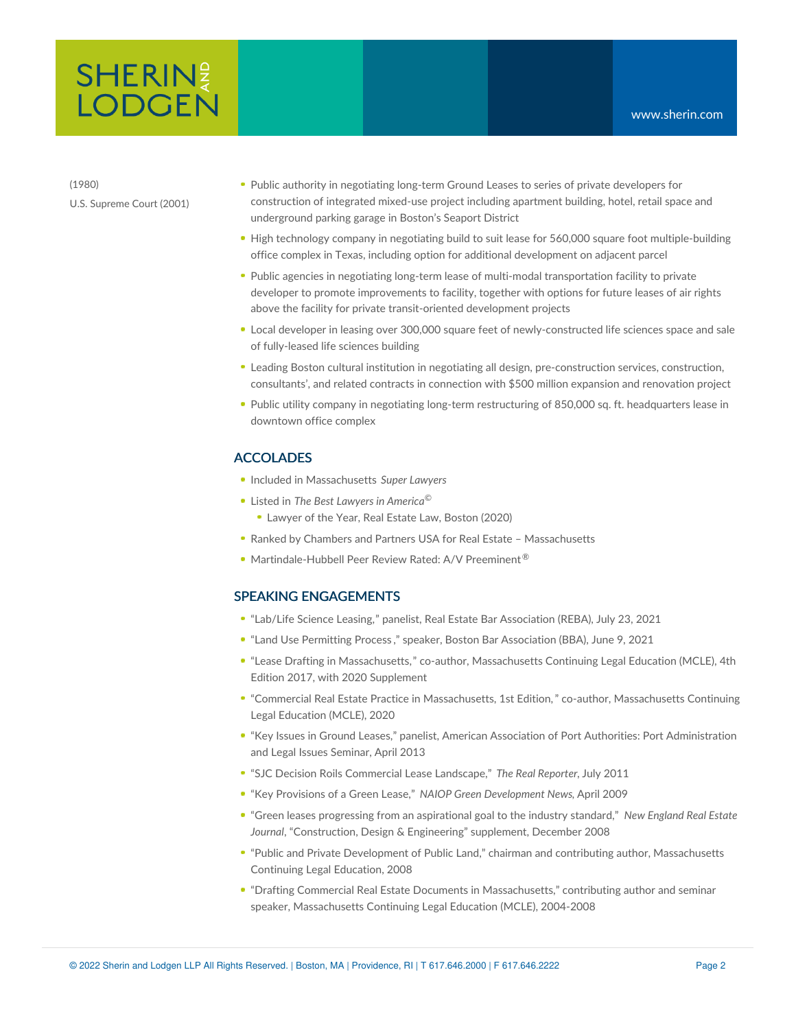# **SHERIN**<sup>2</sup> **LODGEN**

(1980) U.S. Supreme Court (2001)

- Public authority in negotiating long-term Ground Leases to series of private developers for construction of integrated mixed-use project including apartment building, hotel, retail space and underground parking garage in Boston's Seaport District
- High technology company in negotiating build to suit lease for 560,000 square foot multiple-building office complex in Texas, including option for additional development on adjacent parcel
- Public agencies in negotiating long-term lease of multi-modal transportation facility to private developer to promote improvements to facility, together with options for future leases of air rights above the facility for private transit-oriented development projects
- Local developer in leasing over 300,000 square feet of newly-constructed life sciences space and sale of fully-leased life sciences building
- Leading Boston cultural institution in negotiating all design, pre-construction services, construction, consultants', and related contracts in connection with \$500 million expansion and renovation project
- Public utility company in negotiating long-term restructuring of 850,000 sq. ft. headquarters lease in downtown office complex

### ACCOLADES

- Included in Massachusetts *Super Lawyers*
- Listed in *The Best Lawyers in America* ©
	- Lawyer of the Year, Real Estate Law, Boston (2020)
- Ranked by Chambers and Partners USA for Real Estate Massachusetts
- Martindale-Hubbell Peer Review Rated: A/V Preeminent<sup>®</sup>

### SPEAKING ENGAGEMENTS

- "[Lab/Life](https://www.sherin.com/firm-news/peter-friedenberg-serves-as-panelist-at-reba-webinar-on-leasing-lab-life-science-space/) Science Leasing," panelist, Real Estate Bar Association (REBA), July 23, 2021
- "Land Use [Permitting](https://bostonbar.org/membership/events/event-details?ID=37477) Process ," speaker, Boston Bar Association (BBA), June 9, 2021
- "Lease Drafting in [Massachusetts,](https://www.mcle.org/product/catalog/code/1960311B00)" co-author, Massachusetts Continuing Legal Education (MCLE), 4th Edition 2017, with 2020 Supplement
- "Commercial Real Estate Practice in [Massachusetts,](https://www.mcle.org/product/catalog/code/2210197B00) 1st Edition," co-author, Massachusetts Continuing Legal Education (MCLE), 2020
- "Key Issues in Ground Leases," panelist, American Association of Port Authorities: Port Administration and Legal Issues Seminar, April 2013
- "SJC Decision Roils [Commercial](http://sherin.com/?t=40&an=9168&format=xml) Lease Landscape," *The Real Reporter,* July 2011
- "Key Provisions of a Green Lease," *NAIOP Green Development News*, April 2009
- "Green leases progressing from an aspirational goal to the industry standard," *New England Real Estate Journal*, "Construction, Design & Engineering" supplement, December 2008
- "Public and Private Development of Public Land," chairman and contributing author, Massachusetts Continuing Legal Education, 2008
- "Drafting Commercial Real Estate Documents in Massachusetts," contributing author and seminar speaker, Massachusetts Continuing Legal Education (MCLE), 2004-2008